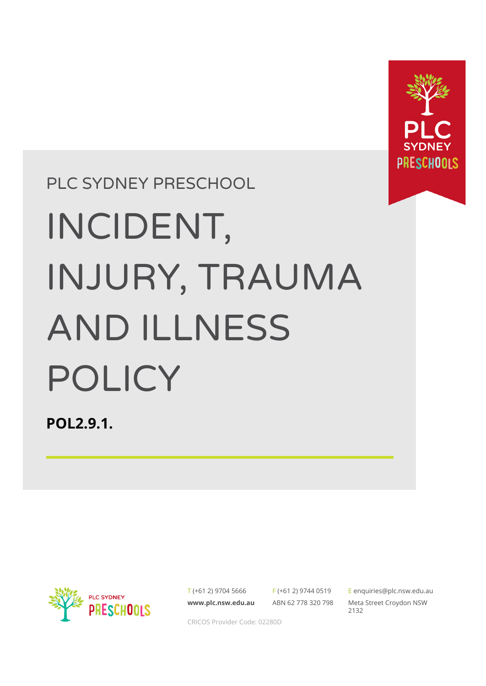

PLC SYDNEY PRESCHOOL

# INCIDENT, INJURY, TRAUMA AND ILLNESS POLICY

**POL2.9.1.**



T (+61 2) 9704 5666 **[www.plc.nsw.edu.au](http://www.plc.nsw.edu.au)** F (+61 2) 9744 0519 ABN 62 778 320 798

E [enquiries@plc.nsw.edu.au](mailto:enquiries@plc.nsw.edu.au) Meta Street Croydon NSW 2132

CRICOS Provider Code: 02280D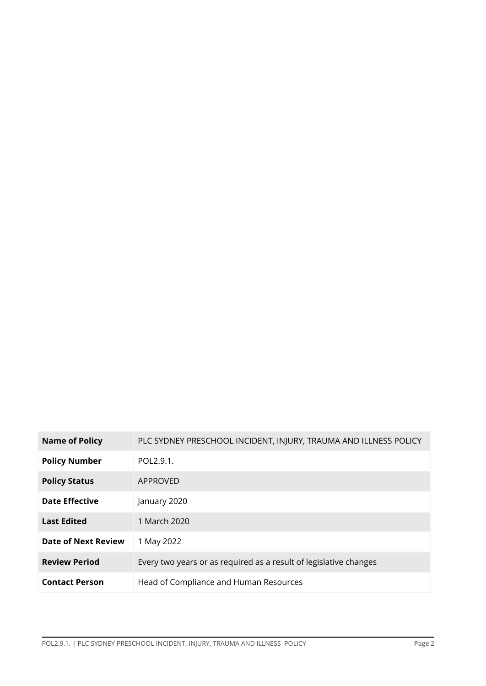| <b>Name of Policy</b>      | PLC SYDNEY PRESCHOOL INCIDENT, INJURY, TRAUMA AND ILLNESS POLICY  |
|----------------------------|-------------------------------------------------------------------|
| <b>Policy Number</b>       | POL2.9.1.                                                         |
| <b>Policy Status</b>       | APPROVED                                                          |
| <b>Date Effective</b>      | January 2020                                                      |
| <b>Last Edited</b>         | 1 March 2020                                                      |
| <b>Date of Next Review</b> | 1 May 2022                                                        |
| <b>Review Period</b>       | Every two years or as required as a result of legislative changes |
| <b>Contact Person</b>      | Head of Compliance and Human Resources                            |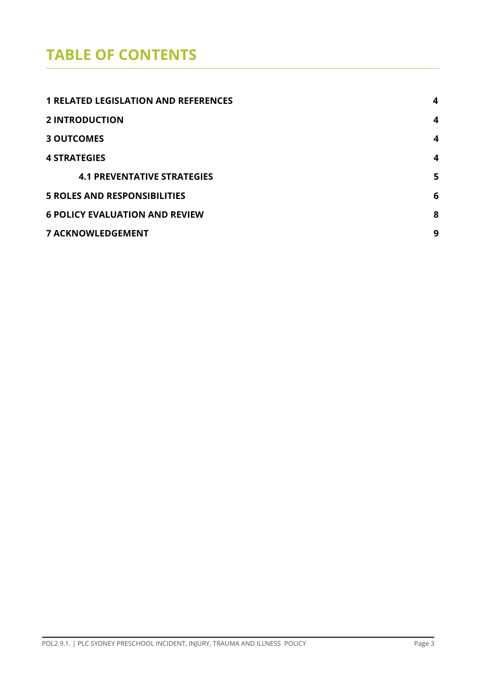# **TABLE OF CONTENTS**

| <b>1 RELATED LEGISLATION AND REFERENCES</b> | 4 |
|---------------------------------------------|---|
| <b>2 INTRODUCTION</b>                       | 4 |
| <b>3 OUTCOMES</b>                           | 4 |
| <b>4 STRATEGIES</b>                         | 4 |
| <b>4.1 PREVENTATIVE STRATEGIES</b>          | 5 |
| <b>5 ROLES AND RESPONSIBILITIES</b>         | 6 |
| <b>6 POLICY EVALUATION AND REVIEW</b>       |   |
| <b>7 ACKNOWLEDGEMENT</b>                    | 9 |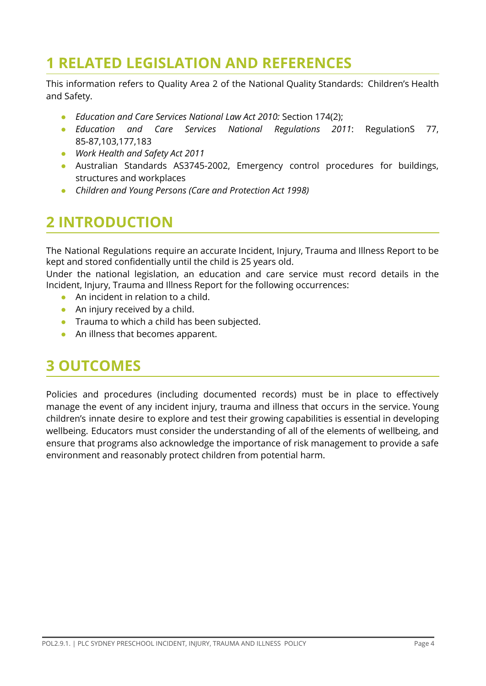# <span id="page-3-0"></span>**1 RELATED LEGISLATION AND REFERENCES**

This information refers to Quality Area 2 of the National Quality Standards: Children's Health and Safety.

- **●** *Education and Care Services National Law Act 2010:* Section 174(2);
- **●** *Education and Care Services National Regulations 2011*: RegulationS 77, 85-87,103,177,183
- *● Work Health and Safety Act 2011*
- **●** Australian Standards AS3745-2002, Emergency control procedures for buildings, structures and workplaces
- *● Children and Young Persons (Care and Protection Act 1998)*

# **2 INTRODUCTION**

The National Regulations require an accurate Incident, Injury, Trauma and Illness Report to be kept and stored confidentially until the child is 25 years old.

Under the national legislation, an education and care service must record details in the Incident, Injury, Trauma and Illness Report for the following occurrences:

- An incident in relation to a child.
- An injury received by a child.
- Trauma to which a child has been subjected.
- An illness that becomes apparent.

### **3 OUTCOMES**

Policies and procedures (including documented records) must be in place to effectively manage the event of any incident injury, trauma and illness that occurs in the service. Young children's innate desire to explore and test their growing capabilities is essential in developing wellbeing. Educators must consider the understanding of all of the elements of wellbeing, and ensure that programs also acknowledge the importance of risk management to provide a safe environment and reasonably protect children from potential harm.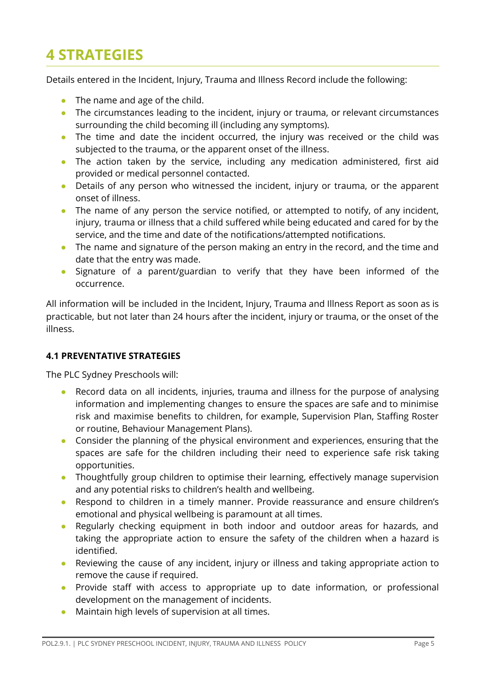# **4 STRATEGIES**

Details entered in the Incident, Injury, Trauma and Illness Record include the following:

- The name and age of the child.
- The circumstances leading to the incident, injury or trauma, or relevant circumstances surrounding the child becoming ill (including any symptoms).
- The time and date the incident occurred, the injury was received or the child was subjected to the trauma, or the apparent onset of the illness.
- The action taken by the service, including any medication administered, first aid provided or medical personnel contacted.
- Details of any person who witnessed the incident, injury or trauma, or the apparent onset of illness.
- The name of any person the service notified, or attempted to notify, of any incident, injury, trauma or illness that a child suffered while being educated and cared for by the service, and the time and date of the notifications/attempted notifications.
- The name and signature of the person making an entry in the record, and the time and date that the entry was made.
- Signature of a parent/guardian to verify that they have been informed of the occurrence.

All information will be included in the Incident, Injury, Trauma and Illness Report as soon as is practicable, but not later than 24 hours after the incident, injury or trauma, or the onset of the illness.

#### **4.1 PREVENTATIVE STRATEGIES**

The PLC Sydney Preschools will:

- Record data on all incidents, injuries, trauma and illness for the purpose of analysing information and implementing changes to ensure the spaces are safe and to minimise risk and maximise benefits to children, for example, Supervision Plan, Staffing Roster or routine, Behaviour Management Plans).
- Consider the planning of the physical environment and experiences, ensuring that the spaces are safe for the children including their need to experience safe risk taking opportunities.
- Thoughtfully group children to optimise their learning, effectively manage supervision and any potential risks to children's health and wellbeing.
- Respond to children in a timely manner. Provide reassurance and ensure children's emotional and physical wellbeing is paramount at all times.
- Regularly checking equipment in both indoor and outdoor areas for hazards, and taking the appropriate action to ensure the safety of the children when a hazard is identified.
- Reviewing the cause of any incident, injury or illness and taking appropriate action to remove the cause if required.
- Provide staff with access to appropriate up to date information, or professional development on the management of incidents.
- Maintain high levels of supervision at all times.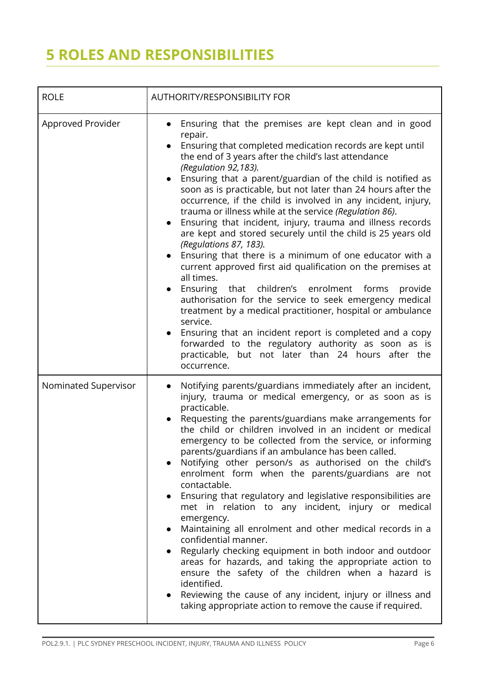# **5 ROLES AND RESPONSIBILITIES**

| <b>ROLE</b>          | <b>AUTHORITY/RESPONSIBILITY FOR</b>                                                                                                                                                                                                                                                                                                                                                                                                                                                                                                                                                                                                                                                                                                                                                                                                                                                                                                                                                                                                                                                                                                                                                                                               |  |  |
|----------------------|-----------------------------------------------------------------------------------------------------------------------------------------------------------------------------------------------------------------------------------------------------------------------------------------------------------------------------------------------------------------------------------------------------------------------------------------------------------------------------------------------------------------------------------------------------------------------------------------------------------------------------------------------------------------------------------------------------------------------------------------------------------------------------------------------------------------------------------------------------------------------------------------------------------------------------------------------------------------------------------------------------------------------------------------------------------------------------------------------------------------------------------------------------------------------------------------------------------------------------------|--|--|
| Approved Provider    | Ensuring that the premises are kept clean and in good<br>$\bullet$<br>repair.<br>Ensuring that completed medication records are kept until<br>$\bullet$<br>the end of 3 years after the child's last attendance<br>(Regulation 92,183).<br>Ensuring that a parent/guardian of the child is notified as<br>$\bullet$<br>soon as is practicable, but not later than 24 hours after the<br>occurrence, if the child is involved in any incident, injury,<br>trauma or illness while at the service (Regulation 86).<br>Ensuring that incident, injury, trauma and illness records<br>$\bullet$<br>are kept and stored securely until the child is 25 years old<br>(Regulations 87, 183).<br>Ensuring that there is a minimum of one educator with a<br>$\bullet$<br>current approved first aid qualification on the premises at<br>all times.<br>Ensuring<br>that children's enrolment forms<br>provide<br>authorisation for the service to seek emergency medical<br>treatment by a medical practitioner, hospital or ambulance<br>service.<br>Ensuring that an incident report is completed and a copy<br>forwarded to the regulatory authority as soon as is<br>practicable, but not later than 24 hours after the<br>occurrence. |  |  |
| Nominated Supervisor | Notifying parents/guardians immediately after an incident,<br>injury, trauma or medical emergency, or as soon as is<br>practicable.<br>Requesting the parents/guardians make arrangements for<br>the child or children involved in an incident or medical<br>emergency to be collected from the service, or informing<br>parents/guardians if an ambulance has been called.<br>Notifying other person/s as authorised on the child's<br>enrolment form when the parents/guardians are not<br>contactable.<br>Ensuring that regulatory and legislative responsibilities are<br>$\bullet$<br>met in relation to any incident, injury or medical<br>emergency.<br>Maintaining all enrolment and other medical records in a<br>confidential manner.<br>Regularly checking equipment in both indoor and outdoor<br>areas for hazards, and taking the appropriate action to<br>ensure the safety of the children when a hazard is<br>identified.<br>Reviewing the cause of any incident, injury or illness and<br>taking appropriate action to remove the cause if required.                                                                                                                                                            |  |  |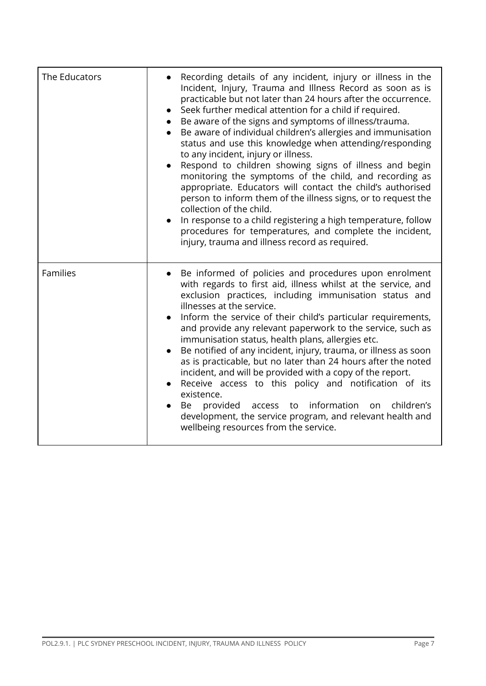| The Educators   | Recording details of any incident, injury or illness in the<br>Incident, Injury, Trauma and Illness Record as soon as is<br>practicable but not later than 24 hours after the occurrence.<br>Seek further medical attention for a child if required.<br>Be aware of the signs and symptoms of illness/trauma.<br>Be aware of individual children's allergies and immunisation<br>status and use this knowledge when attending/responding<br>to any incident, injury or illness.<br>Respond to children showing signs of illness and begin<br>$\bullet$<br>monitoring the symptoms of the child, and recording as<br>appropriate. Educators will contact the child's authorised<br>person to inform them of the illness signs, or to request the<br>collection of the child.<br>In response to a child registering a high temperature, follow<br>procedures for temperatures, and complete the incident,<br>injury, trauma and illness record as required. |
|-----------------|-----------------------------------------------------------------------------------------------------------------------------------------------------------------------------------------------------------------------------------------------------------------------------------------------------------------------------------------------------------------------------------------------------------------------------------------------------------------------------------------------------------------------------------------------------------------------------------------------------------------------------------------------------------------------------------------------------------------------------------------------------------------------------------------------------------------------------------------------------------------------------------------------------------------------------------------------------------|
| <b>Families</b> | Be informed of policies and procedures upon enrolment<br>with regards to first aid, illness whilst at the service, and<br>exclusion practices, including immunisation status and<br>illnesses at the service.<br>Inform the service of their child's particular requirements,<br>and provide any relevant paperwork to the service, such as<br>immunisation status, health plans, allergies etc.<br>Be notified of any incident, injury, trauma, or illness as soon<br>$\bullet$<br>as is practicable, but no later than 24 hours after the noted<br>incident, and will be provided with a copy of the report.<br>Receive access to this policy and notification of its<br>existence.<br>provided access to information<br>children's<br>on<br>Be<br>development, the service program, and relevant health and<br>wellbeing resources from the service.                                                                                                   |